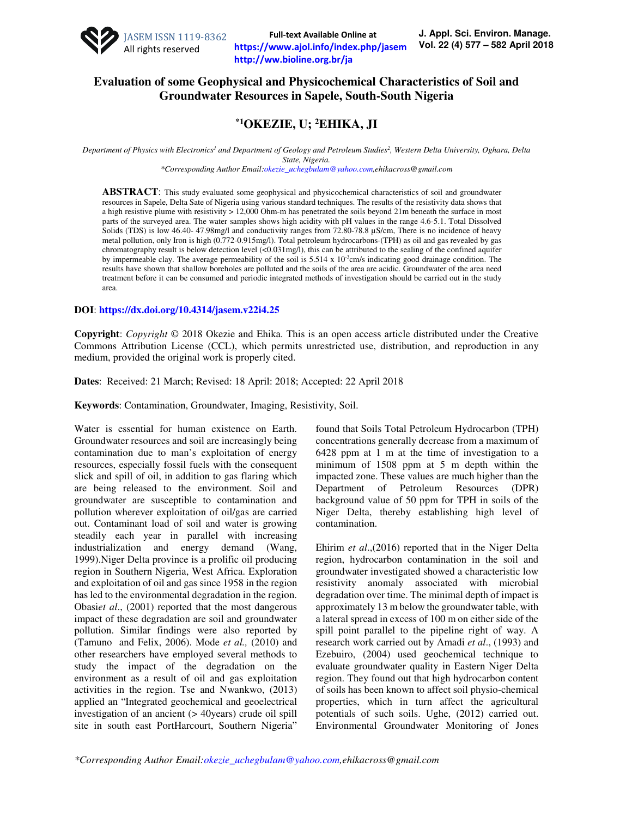

**Full-text Available Online at https://www.ajol.info/index.php/jasem http://ww.bioline.org.br/ja**

## **Evaluation of some Geophysical and Physicochemical Characteristics of Soil and Groundwater Resources in Sapele, South-South Nigeria**

# **\*1OKEZIE, U; <sup>2</sup>EHIKA, JI**

*Department of Physics with Electronics<sup>1</sup> and Department of Geology and Petroleum Studies<sup>2</sup> , Western Delta University, Oghara, Delta State, Nigeria.* 

*\*Corresponding Author Email:okezie\_uchegbulam@yahoo.com,ehikacross@gmail.com* 

**ABSTRACT**: This study evaluated some geophysical and physicochemical characteristics of soil and groundwater resources in Sapele, Delta Sate of Nigeria using various standard techniques. The results of the resistivity data shows that a high resistive plume with resistivity > 12,000 Ohm-m has penetrated the soils beyond 21m beneath the surface in most parts of the surveyed area. The water samples shows high acidity with pH values in the range 4.6-5.1. Total Dissolved Solids (TDS) is low 46.40- 47.98mg/l and conductivity ranges from 72.80-78.8 µS/cm, There is no incidence of heavy metal pollution, only Iron is high (0.772-0.915mg/l). Total petroleum hydrocarbons-(TPH) as oil and gas revealed by gas chromatography result is below detection level (<0.031mg/l), this can be attributed to the sealing of the confined aquifer by impermeable clay. The average permeability of the soil is 5.514 x 10-3cm/s indicating good drainage condition. The results have shown that shallow boreholes are polluted and the soils of the area are acidic. Groundwater of the area need treatment before it can be consumed and periodic integrated methods of investigation should be carried out in the study area.

#### **DOI**: **https://dx.doi.org/10.4314/jasem.v22i4.25**

**Copyright**: *Copyright* © 2018 Okezie and Ehika. This is an open access article distributed under the Creative Commons Attribution License (CCL), which permits unrestricted use, distribution, and reproduction in any medium, provided the original work is properly cited.

**Dates**: Received: 21 March; Revised: 18 April: 2018; Accepted: 22 April 2018

**Keywords**: Contamination, Groundwater, Imaging, Resistivity, Soil.

Water is essential for human existence on Earth. Groundwater resources and soil are increasingly being contamination due to man's exploitation of energy resources, especially fossil fuels with the consequent slick and spill of oil, in addition to gas flaring which are being released to the environment. Soil and groundwater are susceptible to contamination and pollution wherever exploitation of oil/gas are carried out. Contaminant load of soil and water is growing steadily each year in parallel with increasing industrialization and energy demand (Wang, 1999).Niger Delta province is a prolific oil producing region in Southern Nigeria, West Africa. Exploration and exploitation of oil and gas since 1958 in the region has led to the environmental degradation in the region. Obasi*et al*., (2001) reported that the most dangerous impact of these degradation are soil and groundwater pollution. Similar findings were also reported by (Tamuno and Felix, 2006). Mode *et al.,* (2010) and other researchers have employed several methods to study the impact of the degradation on the environment as a result of oil and gas exploitation activities in the region. Tse and Nwankwo, (2013) applied an "Integrated geochemical and geoelectrical investigation of an ancient (> 40years) crude oil spill site in south east PortHarcourt, Southern Nigeria"

found that Soils Total Petroleum Hydrocarbon (TPH) concentrations generally decrease from a maximum of 6428 ppm at 1 m at the time of investigation to a minimum of 1508 ppm at 5 m depth within the impacted zone. These values are much higher than the Department of Petroleum Resources (DPR) background value of 50 ppm for TPH in soils of the Niger Delta, thereby establishing high level of contamination.

Ehirim *et al*.,(2016) reported that in the Niger Delta region, hydrocarbon contamination in the soil and groundwater investigated showed a characteristic low resistivity anomaly associated with microbial degradation over time. The minimal depth of impact is approximately 13 m below the groundwater table, with a lateral spread in excess of 100 m on either side of the spill point parallel to the pipeline right of way. A research work carried out by Amadi *et al*., (1993) and Ezebuiro, (2004) used geochemical technique to evaluate groundwater quality in Eastern Niger Delta region. They found out that high hydrocarbon content of soils has been known to affect soil physio-chemical properties, which in turn affect the agricultural potentials of such soils. Ughe, (2012) carried out. Environmental Groundwater Monitoring of Jones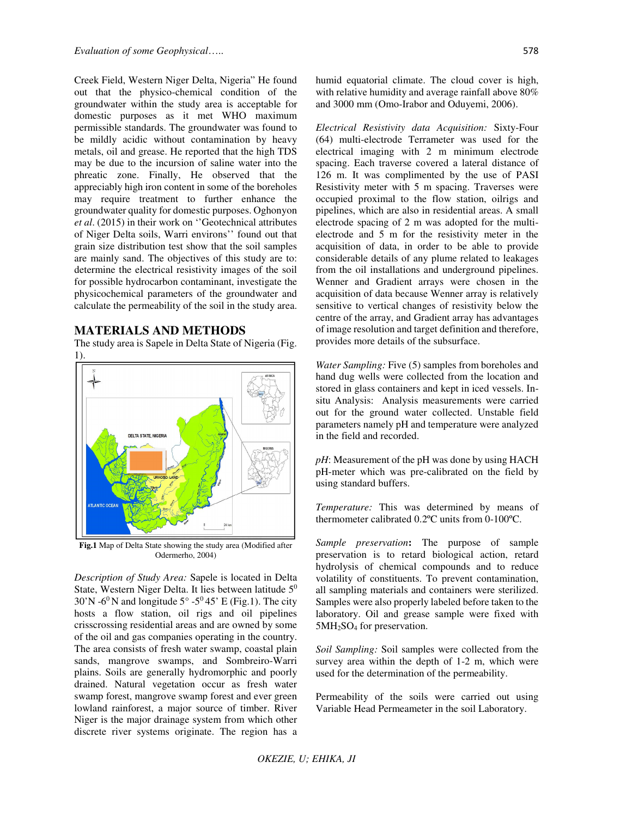Creek Field, Western Niger Delta, Nigeria" He found out that the physico-chemical condition of the groundwater within the study area is acceptable for domestic purposes as it met WHO maximum permissible standards. The groundwater was found to be mildly acidic without contamination by heavy metals, oil and grease. He reported that the high TDS may be due to the incursion of saline water into the phreatic zone. Finally, He observed that the appreciably high iron content in some of the boreholes may require treatment to further enhance the groundwater quality for domestic purposes. Oghonyon *et al*. (2015) in their work on ''Geotechnical attributes of Niger Delta soils, Warri environs'' found out that grain size distribution test show that the soil samples are mainly sand. The objectives of this study are to: determine the electrical resistivity images of the soil for possible hydrocarbon contaminant, investigate the physicochemical parameters of the groundwater and calculate the permeability of the soil in the study area.

### **MATERIALS AND METHODS**

The study area is Sapele in Delta State of Nigeria (Fig.



**Fig.1** Map of Delta State showing the study area (Modified after Odermerho, 2004)

*Description of Study Area:* Sapele is located in Delta State, Western Niger Delta. It lies between latitude 5<sup>0</sup>  $30'$ N -6<sup>0</sup>N and longitude  $5^{\circ}$  -5<sup>0</sup>45' E (Fig.1). The city hosts a flow station, oil rigs and oil pipelines crisscrossing residential areas and are owned by some of the oil and gas companies operating in the country. The area consists of fresh water swamp, coastal plain sands, mangrove swamps, and Sombreiro-Warri plains. Soils are generally hydromorphic and poorly drained. Natural vegetation occur as fresh water swamp forest, mangrove swamp forest and ever green lowland rainforest, a major source of timber. River Niger is the major drainage system from which other discrete river systems originate. The region has a humid equatorial climate. The cloud cover is high, with relative humidity and average rainfall above 80% and 3000 mm (Omo-Irabor and Oduyemi, 2006).

*Electrical Resistivity data Acquisition:* Sixty-Four (64) multi-electrode Terrameter was used for the electrical imaging with 2 m minimum electrode spacing. Each traverse covered a lateral distance of 126 m. It was complimented by the use of PASI Resistivity meter with 5 m spacing. Traverses were occupied proximal to the flow station, oilrigs and pipelines, which are also in residential areas. A small electrode spacing of 2 m was adopted for the multielectrode and 5 m for the resistivity meter in the acquisition of data, in order to be able to provide considerable details of any plume related to leakages from the oil installations and underground pipelines. Wenner and Gradient arrays were chosen in the acquisition of data because Wenner array is relatively sensitive to vertical changes of resistivity below the centre of the array, and Gradient array has advantages of image resolution and target definition and therefore, provides more details of the subsurface.

*Water Sampling:* Five (5) samples from boreholes and hand dug wells were collected from the location and stored in glass containers and kept in iced vessels. Insitu Analysis: Analysis measurements were carried out for the ground water collected. Unstable field parameters namely pH and temperature were analyzed in the field and recorded.

*pH*: Measurement of the *pH* was done by using HACH pH-meter which was pre-calibrated on the field by using standard buffers.

*Temperature:* This was determined by means of thermometer calibrated 0.2ºC units from 0-100ºC.

*Sample preservation***:** The purpose of sample preservation is to retard biological action, retard hydrolysis of chemical compounds and to reduce volatility of constituents. To prevent contamination, all sampling materials and containers were sterilized. Samples were also properly labeled before taken to the laboratory. Oil and grease sample were fixed with 5MH2SO4 for preservation.

*Soil Sampling:* Soil samples were collected from the survey area within the depth of 1-2 m, which were used for the determination of the permeability.

Permeability of the soils were carried out using Variable Head Permeameter in the soil Laboratory.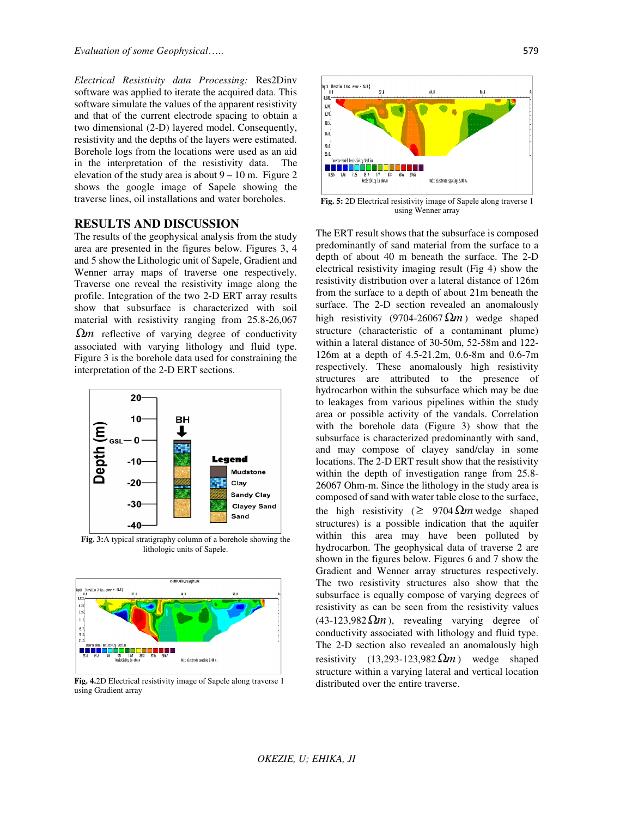*Electrical Resistivity data Processing:* Res2Dinv software was applied to iterate the acquired data. This software simulate the values of the apparent resistivity and that of the current electrode spacing to obtain a two dimensional (2-D) layered model. Consequently, resistivity and the depths of the layers were estimated. Borehole logs from the locations were used as an aid in the interpretation of the resistivity data. The elevation of the study area is about  $9 - 10$  m. Figure 2 shows the google image of Sapele showing the traverse lines, oil installations and water boreholes.

### **RESULTS AND DISCUSSION**

The results of the geophysical analysis from the study area are presented in the figures below. Figures 3, 4 and 5 show the Lithologic unit of Sapele, Gradient and Wenner array maps of traverse one respectively. Traverse one reveal the resistivity image along the profile. Integration of the two 2-D ERT array results show that subsurface is characterized with soil material with resistivity ranging from 25.8-26,067 Ω*m* reflective of varying degree of conductivity associated with varying lithology and fluid type. Figure 3 is the borehole data used for constraining the interpretation of the 2-D ERT sections.



**Fig. 3:**A typical stratigraphy column of a borehole showing the lithologic units of Sapele.



**Fig. 4.**2D Electrical resistivity image of Sapele along traverse 1 using Gradient array



**Fig. 5:** 2D Electrical resistivity image of Sapele along traverse 1 using Wenner array

The ERT result shows that the subsurface is composed predominantly of sand material from the surface to a depth of about 40 m beneath the surface. The 2-D electrical resistivity imaging result (Fig 4) show the resistivity distribution over a lateral distance of 126m from the surface to a depth of about 21m beneath the surface. The 2-D section revealed an anomalously high resistivity (9704-26067 $\Omega$ *m*) wedge shaped structure (characteristic of a contaminant plume) within a lateral distance of 30-50m, 52-58m and 122- 126m at a depth of 4.5-21.2m, 0.6-8m and 0.6-7m respectively. These anomalously high resistivity structures are attributed to the presence of hydrocarbon within the subsurface which may be due to leakages from various pipelines within the study area or possible activity of the vandals. Correlation with the borehole data (Figure 3) show that the subsurface is characterized predominantly with sand, and may compose of clayey sand/clay in some locations. The 2-D ERT result show that the resistivity within the depth of investigation range from 25.8- 26067 Ohm-m. Since the lithology in the study area is composed of sand with water table close to the surface, the high resistivity ( $\geq 9704 \Omega m$  wedge shaped structures) is a possible indication that the aquifer within this area may have been polluted by hydrocarbon. The geophysical data of traverse 2 are shown in the figures below. Figures 6 and 7 show the Gradient and Wenner array structures respectively. The two resistivity structures also show that the subsurface is equally compose of varying degrees of resistivity as can be seen from the resistivity values  $(43-123.982 \Omega m)$ , revealing varying degree of conductivity associated with lithology and fluid type. The 2-D section also revealed an anomalously high resistivity  $(13,293-123,982 \Omega m)$  wedge shaped structure within a varying lateral and vertical location distributed over the entire traverse.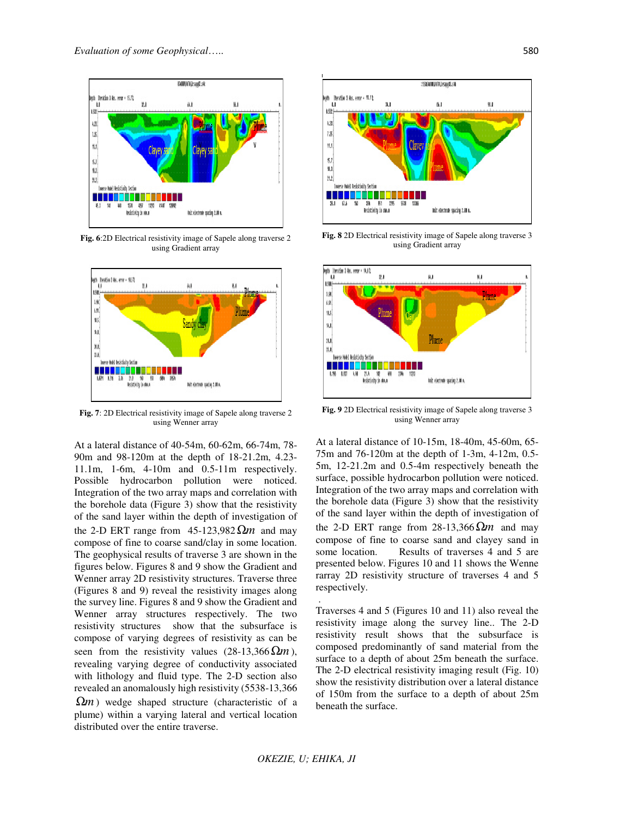

**Fig. 6**:2D Electrical resistivity image of Sapele along traverse 2 using Gradient array



**Fig. 7**: 2D Electrical resistivity image of Sapele along traverse 2 using Wenner array

At a lateral distance of 40-54m, 60-62m, 66-74m, 78- 90m and 98-120m at the depth of 18-21.2m, 4.23- 11.1m, 1-6m, 4-10m and 0.5-11m respectively. Possible hydrocarbon pollution were noticed. Integration of the two array maps and correlation with the borehole data (Figure 3) show that the resistivity of the sand layer within the depth of investigation of the 2-D ERT range from 45-123,982Ω*m* and may compose of fine to coarse sand/clay in some location. The geophysical results of traverse 3 are shown in the figures below. Figures 8 and 9 show the Gradient and Wenner array 2D resistivity structures. Traverse three (Figures 8 and 9) reveal the resistivity images along the survey line. Figures 8 and 9 show the Gradient and Wenner array structures respectively. The two resistivity structures show that the subsurface is compose of varying degrees of resistivity as can be seen from the resistivity values  $(28-13,366 \Omega m)$ , revealing varying degree of conductivity associated with lithology and fluid type. The 2-D section also revealed an anomalously high resistivity (5538-13,366  $\Omega$ *m*) wedge shaped structure (characteristic of a

plume) within a varying lateral and vertical location distributed over the entire traverse.



**Fig. 8** 2D Electrical resistivity image of Sapele along traverse 3 using Gradient array



**Fig. 9** 2D Electrical resistivity image of Sapele along traverse 3 using Wenner array

At a lateral distance of 10-15m, 18-40m, 45-60m, 65- 75m and 76-120m at the depth of 1-3m, 4-12m, 0.5- 5m, 12-21.2m and 0.5-4m respectively beneath the surface, possible hydrocarbon pollution were noticed. Integration of the two array maps and correlation with the borehole data (Figure 3) show that the resistivity of the sand layer within the depth of investigation of the 2-D ERT range from 28-13,366Ω*m* and may compose of fine to coarse sand and clayey sand in some location. Results of traverses 4 and 5 are presented below. Figures 10 and 11 shows the Wenne rarray 2D resistivity structure of traverses 4 and 5 respectively.

Traverses 4 and 5 (Figures 10 and 11) also reveal the resistivity image along the survey line.. The 2-D resistivity result shows that the subsurface is composed predominantly of sand material from the surface to a depth of about 25m beneath the surface. The 2-D electrical resistivity imaging result (Fig. 10) show the resistivity distribution over a lateral distance of 150m from the surface to a depth of about 25m beneath the surface.

.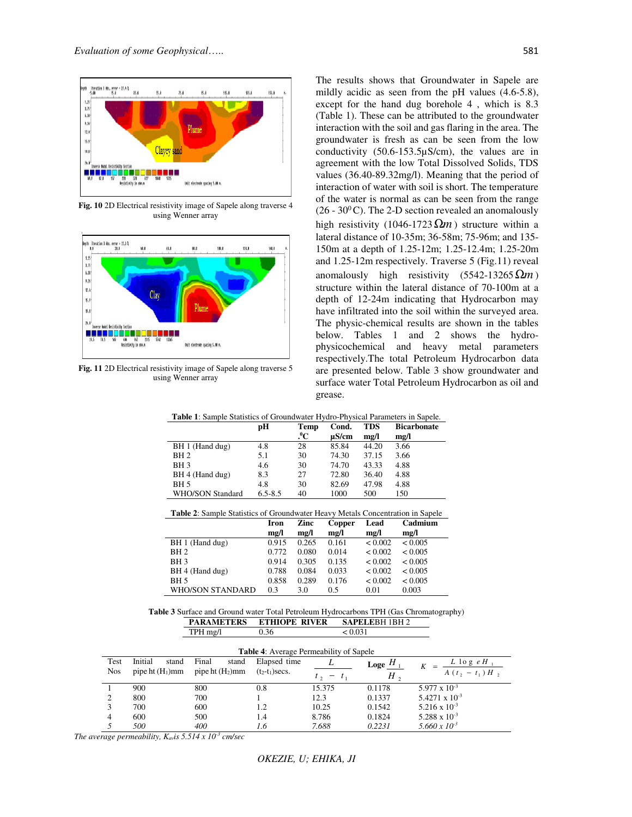

**Fig. 10** 2D Electrical resistivity image of Sapele along traverse 4 using Wenner array



**Fig. 11** 2D Electrical resistivity image of Sapele along traverse 5 using Wenner array

The results shows that Groundwater in Sapele are mildly acidic as seen from the pH values (4.6-5.8), except for the hand dug borehole 4 , which is 8.3 (Table 1). These can be attributed to the groundwater interaction with the soil and gas flaring in the area. The groundwater is fresh as can be seen from the low conductivity (50.6-153.5µS/cm), the values are in agreement with the low Total Dissolved Solids, TDS values (36.40-89.32mg/l). Meaning that the period of interaction of water with soil is short. The temperature of the water is normal as can be seen from the range  $(26 - 30<sup>0</sup>C)$ . The 2-D section revealed an anomalously high resistivity (1046-1723 $\Omega$ *m*) structure within a lateral distance of 10-35m; 36-58m; 75-96m; and 135- 150m at a depth of 1.25-12m; 1.25-12.4m; 1.25-20m and 1.25-12m respectively. Traverse 5 (Fig.11) reveal anomalously high resistivity (5542-13265Ω*m* ) structure within the lateral distance of 70-100m at a depth of 12-24m indicating that Hydrocarbon may have infiltrated into the soil within the surveyed area. The physic-chemical results are shown in the tables below. Tables 1 and 2 shows the hydrophysicochemical and heavy metal parameters respectively.The total Petroleum Hydrocarbon data are presented below. Table 3 show groundwater and surface water Total Petroleum Hydrocarbon as oil and grease.

| <b>Table 1.</b> Sample Statistics of Groundwater Hydro-Fhysical Farameters in Sapele. |             |                           |                     |                    |                            |  |
|---------------------------------------------------------------------------------------|-------------|---------------------------|---------------------|--------------------|----------------------------|--|
|                                                                                       | рH          | Temp<br>$\cdot ^{\circ}C$ | Cond.<br>$\mu$ S/cm | <b>TDS</b><br>mg/l | <b>Bicarbonate</b><br>mg/l |  |
| BH 1 (Hand dug)                                                                       | 4.8         | 28                        | 85.84               | 44.20              | 3.66                       |  |
| BH <sub>2</sub>                                                                       | 5.1         | 30                        | 74.30               | 37.15              | 3.66                       |  |
| BH <sub>3</sub>                                                                       | 4.6         | 30                        | 74.70               | 43.33              | 4.88                       |  |
| BH 4 (Hand dug)                                                                       | 8.3         | 27                        | 72.80               | 36.40              | 4.88                       |  |
| BH <sub>5</sub>                                                                       | 4.8         | 30                        | 82.69               | 47.98              | 4.88                       |  |
| WHO/SON Standard                                                                      | $6.5 - 8.5$ | 40                        | 1000                | 500                | 150                        |  |

**Table 1**: Sample Statistics of Groundwater Hydro-Physical Parameters in Sapele.

| <b>Table 2:</b> Sample Statistics of Groundwater Heavy Metals Concentration in Sapele |            |            |           |             |         |  |
|---------------------------------------------------------------------------------------|------------|------------|-----------|-------------|---------|--|
|                                                                                       | Iron       | Zinc       | Copper    | <b>Lead</b> | Cadmium |  |
|                                                                                       | $m\varrho$ | $m\varrho$ | $m\Omega$ | $m\Omega$   | mg/l    |  |
| BH 1 (Hand dug)                                                                       | 0.915      | 0.265      | 0.161     | < 0.002     | < 0.005 |  |
| BH 2.                                                                                 | 0.772      | 0.080      | 0.014     | < 0.002     | < 0.005 |  |

| <b>PARAMETERS ETHIOPE RIVER SAPELEBH 1BH 2</b>                                                |       |     |             |                 |       |  |
|-----------------------------------------------------------------------------------------------|-------|-----|-------------|-----------------|-------|--|
| <b>Table 3</b> Surface and Ground water Total Petroleum Hydrocarbons TPH (Gas Chromatography) |       |     |             |                 |       |  |
| WHO/SON STANDARD 0.3                                                                          |       | 3.0 | 0.5         | 0.01            | 0.003 |  |
| <b>BH</b> 5                                                                                   | 0.858 |     | 0.289 0.176 | < 0.002 < 0.005 |       |  |

TPH mg/l  $0.36$   $< 0.031$ 

BH 3 0.914 0.305 0.135 < 0.002 < 0.005 BH 4 (Hand dug)  $0.788$   $0.084$   $0.033$   $0.002$   $0.005$ <br>BH 5  $0.858$   $0.289$   $0.176$   $0.002$   $0.005$ 

| <b>Table 4:</b> Average Permeability of Sapele |                    |                    |                   |                 |                         |                         |  |
|------------------------------------------------|--------------------|--------------------|-------------------|-----------------|-------------------------|-------------------------|--|
| Test                                           | Initial<br>stand   | Final<br>stand     | Elapsed time      |                 | $_{\text{Loge}}$ $^{H}$ | $L$ log $e$ $H$         |  |
| <b>Nos</b>                                     | pipe ht $(H_1)$ mm | pipe ht $(H_2)$ mm | $(t_2-t_1)$ secs. | $t_{2} - t_{1}$ | H <sub>2</sub>          | $A(t_2 - t_1)H_2$       |  |
| -1                                             | 900                | 800                | 0.8               | 15.375          | 0.1178                  | $5.977 \times 10^{-3}$  |  |
| 2                                              | 800                | 700                |                   | 12.3            | 0.1337                  | $5.4271 \times 10^{-3}$ |  |
| 3                                              | 700                | 600                | 1.2               | 10.25           | 0.1542                  | $5.216 \times 10^{-3}$  |  |
| $\overline{4}$                                 | 600                | 500                | 1.4               | 8.786           | 0.1824                  | $5.288 \times 10^{-3}$  |  |
| .5                                             | 500                | 400                | 1.6               | 7.688           | 0.2231                  | $5.660 \times 10^{-3}$  |  |

*The average permeability,*  $K_{av}$ *<i>is* 5.514 x 10<sup>-3</sup> cm/sec